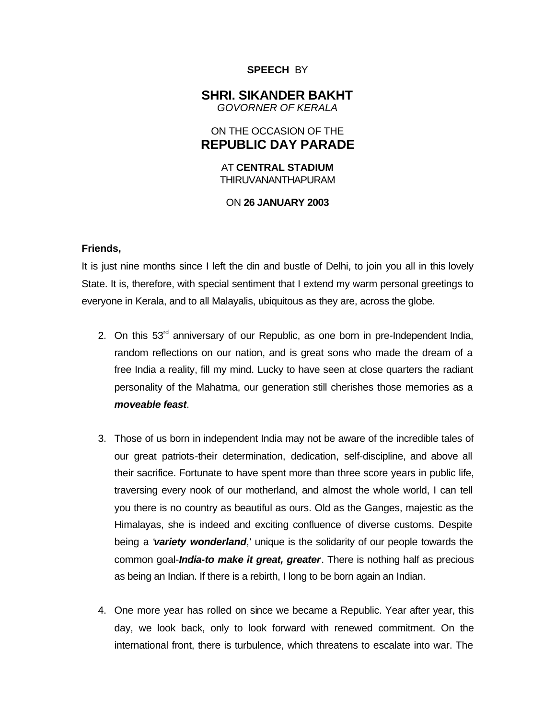### **SPEECH** BY

## **SHRI. SIKANDER BAKHT** *GOVORNER OF KERALA*

# ON THE OCCASION OF THE **REPUBLIC DAY PARADE**

AT **CENTRAL STADIUM** THIRUVANANTHAPURAM

### ON **26 JANUARY 2003**

### **Friends,**

It is just nine months since I left the din and bustle of Delhi, to join you all in this lovely State. It is, therefore, with special sentiment that I extend my warm personal greetings to everyone in Kerala, and to all Malayalis, ubiquitous as they are, across the globe.

- 2. On this  $53<sup>rd</sup>$  anniversary of our Republic, as one born in pre-Independent India, random reflections on our nation, and is great sons who made the dream of a free India a reality, fill my mind. Lucky to have seen at close quarters the radiant personality of the Mahatma, our generation still cherishes those memories as a *moveable feast*.
- 3. Those of us born in independent India may not be aware of the incredible tales of our great patriots-their determination, dedication, self-discipline, and above all their sacrifice. Fortunate to have spent more than three score years in public life, traversing every nook of our motherland, and almost the whole world, I can tell you there is no country as beautiful as ours. Old as the Ganges, majestic as the Himalayas, she is indeed and exciting confluence of diverse customs. Despite being a '*variety wonderland*,' unique is the solidarity of our people towards the common goal-*India-to make it great, greater*. There is nothing half as precious as being an Indian. If there is a rebirth, I long to be born again an Indian.
- 4. One more year has rolled on since we became a Republic. Year after year, this day, we look back, only to look forward with renewed commitment. On the international front, there is turbulence, which threatens to escalate into war. The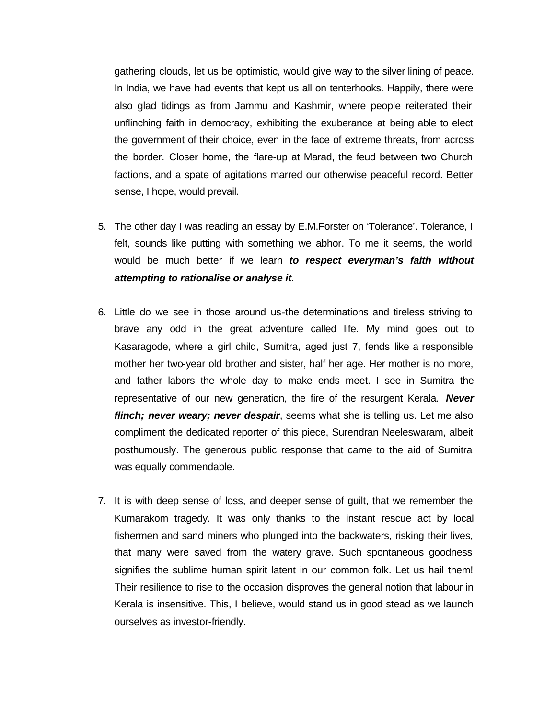gathering clouds, let us be optimistic, would give way to the silver lining of peace. In India, we have had events that kept us all on tenterhooks. Happily, there were also glad tidings as from Jammu and Kashmir, where people reiterated their unflinching faith in democracy, exhibiting the exuberance at being able to elect the government of their choice, even in the face of extreme threats, from across the border. Closer home, the flare-up at Marad, the feud between two Church factions, and a spate of agitations marred our otherwise peaceful record. Better sense, I hope, would prevail.

- 5. The other day I was reading an essay by E.M.Forster on 'Tolerance'. Tolerance, I felt, sounds like putting with something we abhor. To me it seems, the world would be much better if we learn *to respect everyman's faith without attempting to rationalise or analyse it*.
- 6. Little do we see in those around us-the determinations and tireless striving to brave any odd in the great adventure called life. My mind goes out to Kasaragode, where a girl child, Sumitra, aged just 7, fends like a responsible mother her two-year old brother and sister, half her age. Her mother is no more, and father labors the whole day to make ends meet. I see in Sumitra the representative of our new generation, the fire of the resurgent Kerala. *Never flinch; never weary; never despair*, seems what she is telling us. Let me also compliment the dedicated reporter of this piece, Surendran Neeleswaram, albeit posthumously. The generous public response that came to the aid of Sumitra was equally commendable.
- 7. It is with deep sense of loss, and deeper sense of guilt, that we remember the Kumarakom tragedy. It was only thanks to the instant rescue act by local fishermen and sand miners who plunged into the backwaters, risking their lives, that many were saved from the watery grave. Such spontaneous goodness signifies the sublime human spirit latent in our common folk. Let us hail them! Their resilience to rise to the occasion disproves the general notion that labour in Kerala is insensitive. This, I believe, would stand us in good stead as we launch ourselves as investor-friendly.